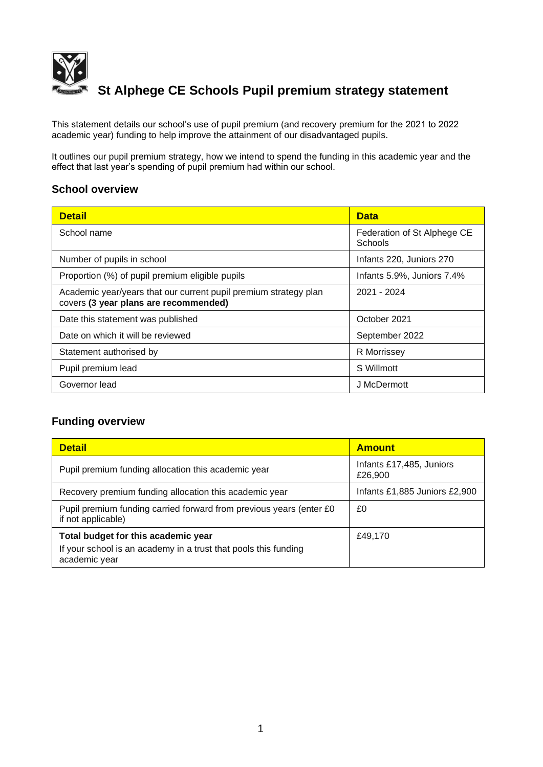

# **St Alphege CE Schools Pupil premium strategy statement**

This statement details our school's use of pupil premium (and recovery premium for the 2021 to 2022 academic year) funding to help improve the attainment of our disadvantaged pupils.

It outlines our pupil premium strategy, how we intend to spend the funding in this academic year and the effect that last year's spending of pupil premium had within our school.

#### **School overview**

| <b>Detail</b>                                                                                             | <b>Data</b>                            |
|-----------------------------------------------------------------------------------------------------------|----------------------------------------|
| School name                                                                                               | Federation of St Alphege CE<br>Schools |
| Number of pupils in school                                                                                | Infants 220, Juniors 270               |
| Proportion (%) of pupil premium eligible pupils                                                           | Infants 5.9%, Juniors 7.4%             |
| Academic year/years that our current pupil premium strategy plan<br>covers (3 year plans are recommended) | 2021 - 2024                            |
| Date this statement was published                                                                         | October 2021                           |
| Date on which it will be reviewed                                                                         | September 2022                         |
| Statement authorised by                                                                                   | R Morrissey                            |
| Pupil premium lead                                                                                        | S Willmott                             |
| Governor lead                                                                                             | J McDermott                            |

## **Funding overview**

| <b>Detail</b>                                                                             | <b>Amount</b>                       |  |
|-------------------------------------------------------------------------------------------|-------------------------------------|--|
| Pupil premium funding allocation this academic year                                       | Infants £17,485, Juniors<br>£26,900 |  |
| Recovery premium funding allocation this academic year                                    | Infants £1,885 Juniors £2,900       |  |
| Pupil premium funding carried forward from previous years (enter £0<br>if not applicable) | £0                                  |  |
| Total budget for this academic year                                                       | £49.170                             |  |
| If your school is an academy in a trust that pools this funding<br>academic year          |                                     |  |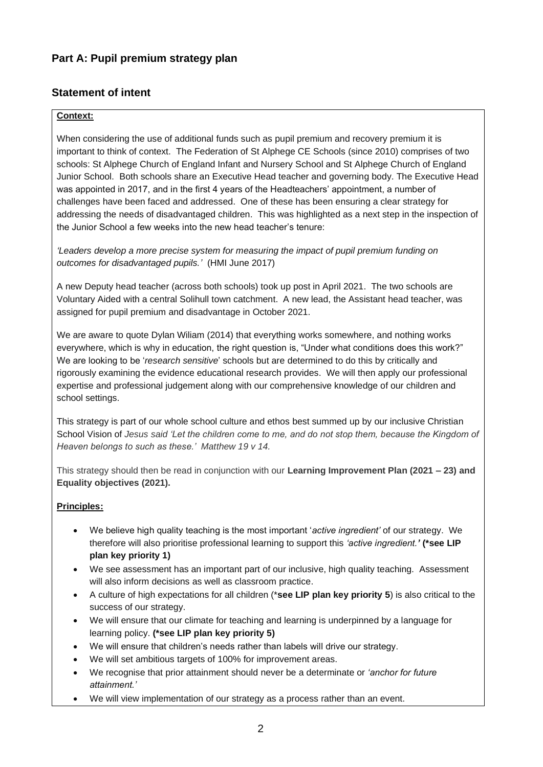## **Part A: Pupil premium strategy plan**

## **Statement of intent**

#### **Context:**

When considering the use of additional funds such as pupil premium and recovery premium it is important to think of context. The Federation of St Alphege CE Schools (since 2010) comprises of two schools: St Alphege Church of England Infant and Nursery School and St Alphege Church of England Junior School. Both schools share an Executive Head teacher and governing body. The Executive Head was appointed in 2017, and in the first 4 years of the Headteachers' appointment, a number of challenges have been faced and addressed. One of these has been ensuring a clear strategy for addressing the needs of disadvantaged children. This was highlighted as a next step in the inspection of the Junior School a few weeks into the new head teacher's tenure:

*'Leaders develop a more precise system for measuring the impact of pupil premium funding on outcomes for disadvantaged pupils.'* (HMI June 2017)

A new Deputy head teacher (across both schools) took up post in April 2021. The two schools are Voluntary Aided with a central Solihull town catchment. A new lead, the Assistant head teacher, was assigned for pupil premium and disadvantage in October 2021.

We are aware to quote Dylan Wiliam (2014) that everything works somewhere, and nothing works everywhere, which is why in education, the right question is, "Under what conditions does this work?" We are looking to be '*research sensitive*' schools but are determined to do this by critically and rigorously examining the evidence educational research provides. We will then apply our professional expertise and professional judgement along with our comprehensive knowledge of our children and school settings.

This strategy is part of our whole school culture and ethos best summed up by our inclusive Christian School Vision of *Jesus said 'Let the children come to me, and do not stop them, because the Kingdom of Heaven belongs to such as these.' Matthew 19 v 14.*

This strategy should then be read in conjunction with our **Learning Improvement Plan (2021 – 23) and Equality objectives (2021).**

#### **Principles:**

- We believe high quality teaching is the most important '*active ingredient'* of our strategy. We therefore will also prioritise professional learning to support this *'active ingredient.'* **(\*see LIP plan key priority 1)**
- We see assessment has an important part of our inclusive, high quality teaching. Assessment will also inform decisions as well as classroom practice.
- A culture of high expectations for all children (\***see LIP plan key priority 5**) is also critical to the success of our strategy.
- We will ensure that our climate for teaching and learning is underpinned by a language for learning policy. **(\*see LIP plan key priority 5)**
- We will ensure that children's needs rather than labels will drive our strategy.
- We will set ambitious targets of 100% for improvement areas.
- We recognise that prior attainment should never be a determinate or *'anchor for future attainment.'*
- We will view implementation of our strategy as a process rather than an event.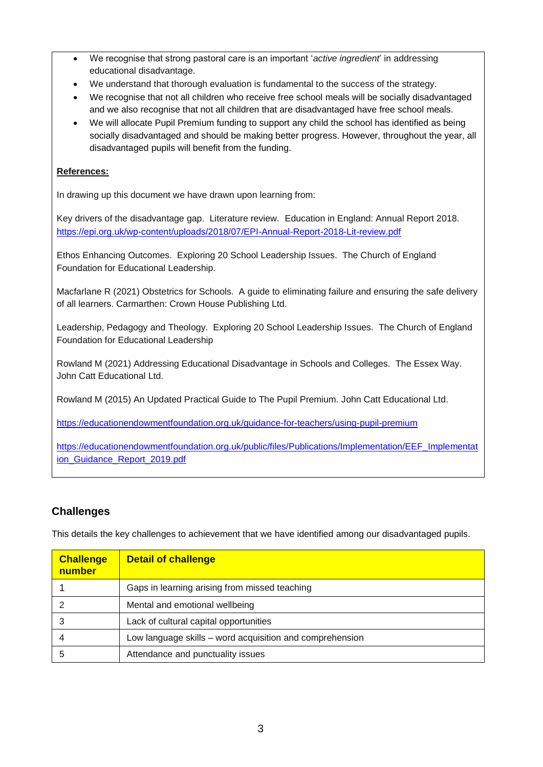- We recognise that strong pastoral care is an important '*active ingredient*' in addressing educational disadvantage.
- We understand that thorough evaluation is fundamental to the success of the strategy.
- We recognise that not all children who receive free school meals will be socially disadvantaged and we also recognise that not all children that are disadvantaged have free school meals.
- We will allocate Pupil Premium funding to support any child the school has identified as being socially disadvantaged and should be making better progress. However, throughout the year, all disadvantaged pupils will benefit from the funding.

#### **References:**

In drawing up this document we have drawn upon learning from:

Key drivers of the disadvantage gap. Literature review. Education in England: Annual Report 2018. <https://epi.org.uk/wp-content/uploads/2018/07/EPI-Annual-Report-2018-Lit-review.pdf>

Ethos Enhancing Outcomes. Exploring 20 School Leadership Issues. The Church of England Foundation for Educational Leadership.

Macfarlane R (2021) Obstetrics for Schools. A guide to eliminating failure and ensuring the safe delivery of all learners. Carmarthen: Crown House Publishing Ltd.

Leadership, Pedagogy and Theology. Exploring 20 School Leadership Issues. The Church of England Foundation for Educational Leadership

Rowland M (2021) Addressing Educational Disadvantage in Schools and Colleges. The Essex Way. John Catt Educational Ltd.

Rowland M (2015) An Updated Practical Guide to The Pupil Premium. John Catt Educational Ltd.

<https://educationendowmentfoundation.org.uk/guidance-for-teachers/using-pupil-premium>

[https://educationendowmentfoundation.org.uk/public/files/Publications/Implementation/EEF\\_Implementat](https://educationendowmentfoundation.org.uk/public/files/Publications/Implementation/EEF_Implementation_Guidance_Report_2019.pdf) [ion\\_Guidance\\_Report\\_2019.pdf](https://educationendowmentfoundation.org.uk/public/files/Publications/Implementation/EEF_Implementation_Guidance_Report_2019.pdf)

## **Challenges**

This details the key challenges to achievement that we have identified among our disadvantaged pupils.

| <b>Challenge</b><br>number | <b>Detail of challenge</b>                               |
|----------------------------|----------------------------------------------------------|
|                            | Gaps in learning arising from missed teaching            |
|                            | Mental and emotional wellbeing                           |
|                            | Lack of cultural capital opportunities                   |
|                            | Low language skills – word acquisition and comprehension |
|                            | Attendance and punctuality issues                        |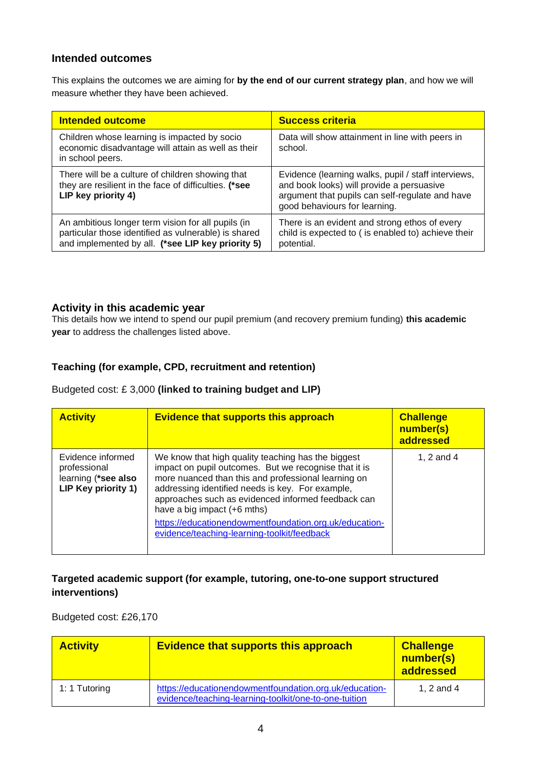#### **Intended outcomes**

This explains the outcomes we are aiming for **by the end of our current strategy plan**, and how we will measure whether they have been achieved.

| <b>Intended outcome</b>                                                                                                                                         | <b>Success criteria</b>                                                                                                                                                              |
|-----------------------------------------------------------------------------------------------------------------------------------------------------------------|--------------------------------------------------------------------------------------------------------------------------------------------------------------------------------------|
| Children whose learning is impacted by socio<br>economic disadvantage will attain as well as their<br>in school peers.                                          | Data will show attainment in line with peers in<br>school.                                                                                                                           |
| There will be a culture of children showing that<br>they are resilient in the face of difficulties. (*see<br>LIP key priority 4)                                | Evidence (learning walks, pupil / staff interviews,<br>and book looks) will provide a persuasive<br>argument that pupils can self-regulate and have<br>good behaviours for learning. |
| An ambitious longer term vision for all pupils (in<br>particular those identified as vulnerable) is shared<br>and implemented by all. (*see LIP key priority 5) | There is an evident and strong ethos of every<br>child is expected to (is enabled to) achieve their<br>potential.                                                                    |

#### **Activity in this academic year**

This details how we intend to spend our pupil premium (and recovery premium funding) **this academic year** to address the challenges listed above.

#### **Teaching (for example, CPD, recruitment and retention)**

#### Budgeted cost: £ 3,000 **(linked to training budget and LIP)**

| <b>Activity</b>                                                                 | <b>Evidence that supports this approach</b>                                                                                                                                                                                                                                                                                                                                                                            | <b>Challenge</b><br>number(s)<br>addressed |
|---------------------------------------------------------------------------------|------------------------------------------------------------------------------------------------------------------------------------------------------------------------------------------------------------------------------------------------------------------------------------------------------------------------------------------------------------------------------------------------------------------------|--------------------------------------------|
| Evidence informed<br>professional<br>learning (*see also<br>LIP Key priority 1) | We know that high quality teaching has the biggest<br>impact on pupil outcomes. But we recognise that it is<br>more nuanced than this and professional learning on<br>addressing identified needs is key. For example,<br>approaches such as evidenced informed feedback can<br>have a big impact $(+6$ mths)<br>https://educationendowmentfoundation.org.uk/education-<br>evidence/teaching-learning-toolkit/feedback | 1, 2 and 4                                 |

## **Targeted academic support (for example, tutoring, one-to-one support structured interventions)**

Budgeted cost: £26,170

| <b>Activity</b> | <b>Evidence that supports this approach</b>                                                                     | <b>Challenge</b><br>number(s)<br>addressed |
|-----------------|-----------------------------------------------------------------------------------------------------------------|--------------------------------------------|
| 1: 1 Tutoring   | https://educationendowmentfoundation.org.uk/education-<br>evidence/teaching-learning-toolkit/one-to-one-tuition | 1, 2 and 4                                 |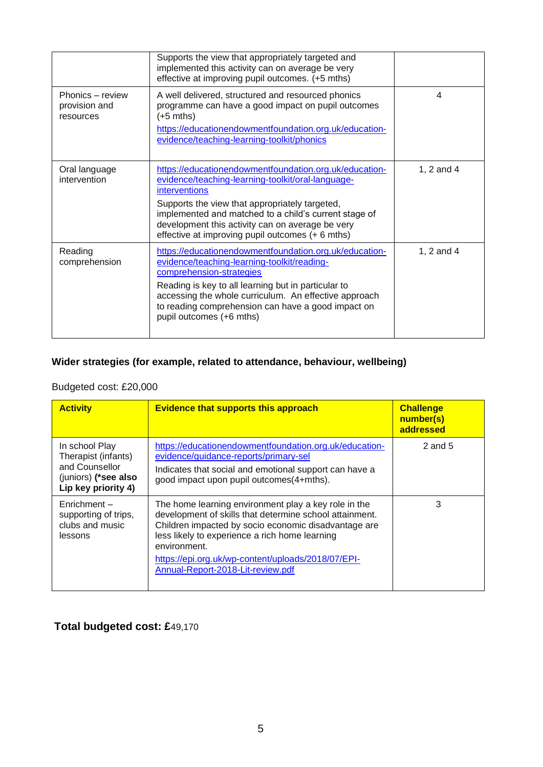|                                                | Supports the view that appropriately targeted and<br>implemented this activity can on average be very<br>effective at improving pupil outcomes. (+5 mths)                                                                                                                                                                                              |            |
|------------------------------------------------|--------------------------------------------------------------------------------------------------------------------------------------------------------------------------------------------------------------------------------------------------------------------------------------------------------------------------------------------------------|------------|
| Phonics – review<br>provision and<br>resources | A well delivered, structured and resourced phonics<br>programme can have a good impact on pupil outcomes<br>$(+5$ mths)<br>https://educationendowmentfoundation.org.uk/education-<br>evidence/teaching-learning-toolkit/phonics                                                                                                                        | 4          |
| Oral language<br>intervention                  | https://educationendowmentfoundation.org.uk/education-<br>evidence/teaching-learning-toolkit/oral-language-<br><i>interventions</i><br>Supports the view that appropriately targeted,<br>implemented and matched to a child's current stage of<br>development this activity can on average be very<br>effective at improving pupil outcomes (+ 6 mths) | 1, 2 and 4 |
| Reading<br>comprehension                       | https://educationendowmentfoundation.org.uk/education-<br>evidence/teaching-learning-toolkit/reading-<br>comprehension-strategies<br>Reading is key to all learning but in particular to<br>accessing the whole curriculum. An effective approach<br>to reading comprehension can have a good impact on<br>pupil outcomes (+6 mths)                    | 1, 2 and 4 |

## **Wider strategies (for example, related to attendance, behaviour, wellbeing)**

## Budgeted cost: £20,000

| <b>Activity</b>                                                                                        | <b>Evidence that supports this approach</b>                                                                                                                                                                                                                                                                                          | <b>Challenge</b><br>number(s)<br>addressed |
|--------------------------------------------------------------------------------------------------------|--------------------------------------------------------------------------------------------------------------------------------------------------------------------------------------------------------------------------------------------------------------------------------------------------------------------------------------|--------------------------------------------|
| In school Play<br>Therapist (infants)<br>and Counsellor<br>(juniors) (*see also<br>Lip key priority 4) | https://educationendowmentfoundation.org.uk/education-<br>evidence/guidance-reports/primary-sel<br>Indicates that social and emotional support can have a<br>good impact upon pupil outcomes(4+mths).                                                                                                                                | 2 and $5$                                  |
| $Enrichment -$<br>supporting of trips,<br>clubs and music<br>lessons                                   | The home learning environment play a key role in the<br>development of skills that determine school attainment.<br>Children impacted by socio economic disadvantage are<br>less likely to experience a rich home learning<br>environment.<br>https://epi.org.uk/wp-content/uploads/2018/07/EPI-<br>Annual-Report-2018-Lit-review.pdf | 3                                          |

# **Total budgeted cost: £**49,170